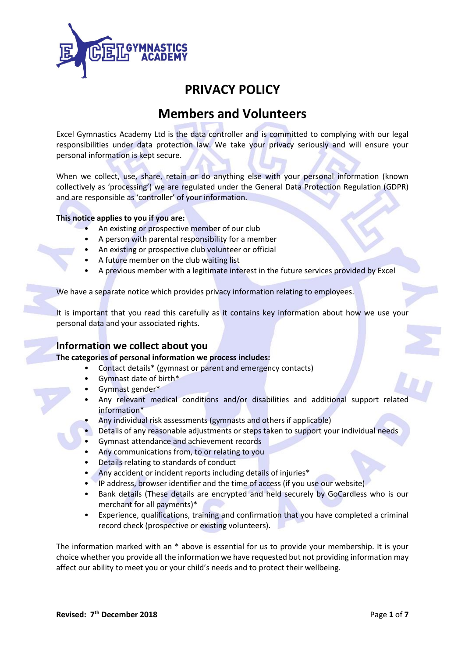

# **PRIVACY POLICY**

# **Members and Volunteers**

Excel Gymnastics Academy Ltd is the data controller and is committed to complying with our legal responsibilities under data protection law. We take your privacy seriously and will ensure your personal information is kept secure.

When we collect, use, share, retain or do anything else with your personal information (known collectively as 'processing') we are regulated under the General Data Protection Regulation (GDPR) and are responsible as 'controller' of your information.

### **This notice applies to you if you are:**

- An existing or prospective member of our club
- A person with parental responsibility for a member
- An existing or prospective club volunteer or official
- A future member on the club waiting list
- A previous member with a legitimate interest in the future services provided by Excel

We have a separate notice which provides privacy information relating to employees.

It is important that you read this carefully as it contains key information about how we use your personal data and your associated rights.

# **Information we collect about you**

### **The categories of personal information we process includes:**

- Contact details\* (gymnast or parent and emergency contacts)
- Gymnast date of birth\*
- Gymnast gender\*
- Any relevant medical conditions and/or disabilities and additional support related information\*
- Any individual risk assessments (gymnasts and others if applicable)
- Details of any reasonable adjustments or steps taken to support your individual needs
- Gymnast attendance and achievement records
- Any communications from, to or relating to you
- Details relating to standards of conduct
- Any accident or incident reports including details of injuries\*
- IP address, browser identifier and the time of access (if you use our website)
- Bank details (These details are encrypted and held securely by GoCardless who is our merchant for all payments)\*
- Experience, qualifications, training and confirmation that you have completed a criminal record check (prospective or existing volunteers).

The information marked with an \* above is essential for us to provide your membership. It is your choice whether you provide all the information we have requested but not providing information may affect our ability to meet you or your child's needs and to protect their wellbeing.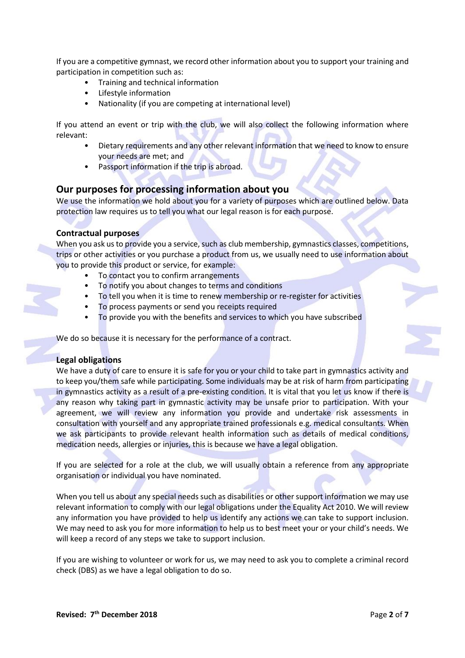If you are a competitive gymnast, we record other information about you to support your training and participation in competition such as:

- Training and technical information
- Lifestyle information
- Nationality (if you are competing at international level)

If you attend an event or trip with the club, we will also collect the following information where relevant:

- Dietary requirements and any other relevant information that we need to know to ensure your needs are met; and
- Passport information if the trip is abroad.

## **Our purposes for processing information about you**

We use the information we hold about you for a variety of purposes which are outlined below. Data protection law requires us to tell you what our legal reason is for each purpose.

### **Contractual purposes**

When you ask us to provide you a service, such as club membership, gymnastics classes, competitions, trips or other activities or you purchase a product from us, we usually need to use information about you to provide this product or service, for example:

- To contact you to confirm arrangements
- To notify you about changes to terms and conditions
- To tell you when it is time to renew membership or re-register for activities
- To process payments or send you receipts required
- To provide you with the benefits and services to which you have subscribed

We do so because it is necessary for the performance of a contract.

### **Legal obligations**

We have a duty of care to ensure it is safe for you or your child to take part in gymnastics activity and to keep you/them safe while participating. Some individuals may be at risk of harm from participating in gymnastics activity as a result of a pre-existing condition. It is vital that you let us know if there is any reason why taking part in gymnastic activity may be unsafe prior to participation. With your agreement, we will review any information you provide and undertake risk assessments in consultation with yourself and any appropriate trained professionals e.g. medical consultants. When we ask participants to provide relevant health information such as details of medical conditions, medication needs, allergies or injuries, this is because we have a legal obligation.

If you are selected for a role at the club, we will usually obtain a reference from any appropriate organisation or individual you have nominated.

When you tell us about any special needs such as disabilities or other support information we may use relevant information to comply with our legal obligations under the Equality Act 2010. We will review any information you have provided to help us identify any actions we can take to support inclusion. We may need to ask you for more information to help us to best meet your or your child's needs. We will keep a record of any steps we take to support inclusion.

If you are wishing to volunteer or work for us, we may need to ask you to complete a criminal record check (DBS) as we have a legal obligation to do so.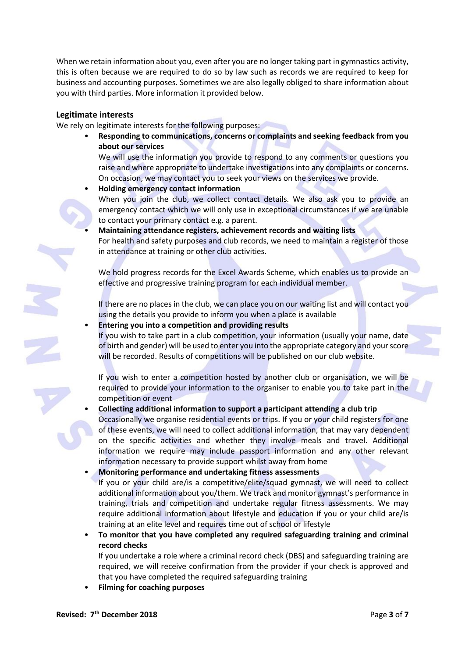When we retain information about you, even after you are no longer taking part in gymnastics activity, this is often because we are required to do so by law such as records we are required to keep for business and accounting purposes. Sometimes we are also legally obliged to share information about you with third parties. More information it provided below.

#### **Legitimate interests**

We rely on legitimate interests for the following purposes:

• **Responding to communications, concerns or complaints and seeking feedback from you about our services**

We will use the information you provide to respond to any comments or questions you raise and where appropriate to undertake investigations into any complaints or concerns. On occasion, we may contact you to seek your views on the services we provide.

• **Holding emergency contact information**

When you join the club, we collect contact details. We also ask you to provide an emergency contact which we will only use in exceptional circumstances if we are unable to contact your primary contact e.g. a parent.

• **Maintaining attendance registers, achievement records and waiting lists** For health and safety purposes and club records, we need to maintain a register of those in attendance at training or other club activities.

We hold progress records for the Excel Awards Scheme, which enables us to provide an effective and progressive training program for each individual member.

If there are no places in the club, we can place you on our waiting list and will contact you using the details you provide to inform you when a place is available

• **Entering you into a competition and providing results**

If you wish to take part in a club competition, your information (usually your name, date of birth and gender) will be used to enter you into the appropriate category and your score will be recorded. Results of competitions will be published on our club website.

If you wish to enter a competition hosted by another club or organisation, we will be required to provide your information to the organiser to enable you to take part in the competition or event

• **Collecting additional information to support a participant attending a club trip**

Occasionally we organise residential events or trips. If you or your child registers for one of these events, we will need to collect additional information, that may vary dependent on the specific activities and whether they involve meals and travel. Additional information we require may include passport information and any other relevant information necessary to provide support whilst away from home

- **Monitoring performance and undertaking fitness assessments** If you or your child are/is a competitive/elite/squad gymnast, we will need to collect additional information about you/them. We track and monitor gymnast's performance in training, trials and competition and undertake regular fitness assessments. We may require additional information about lifestyle and education if you or your child are/is training at an elite level and requires time out of school or lifestyle
- **To monitor that you have completed any required safeguarding training and criminal record checks**

If you undertake a role where a criminal record check (DBS) and safeguarding training are required, we will receive confirmation from the provider if your check is approved and that you have completed the required safeguarding training

• **Filming for coaching purposes**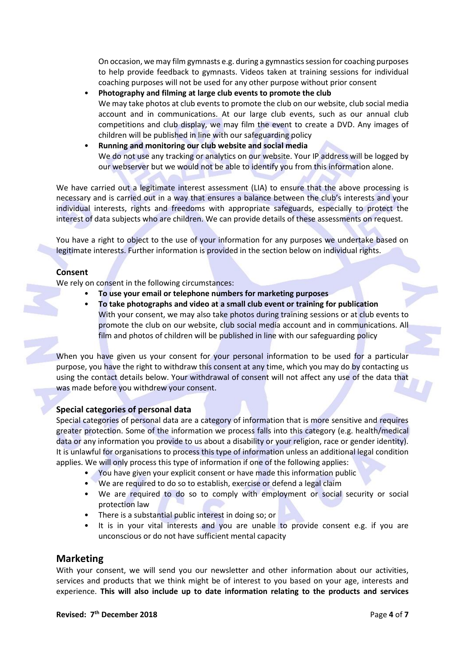On occasion, we may film gymnasts e.g. during a gymnastics session for coaching purposes to help provide feedback to gymnasts. Videos taken at training sessions for individual coaching purposes will not be used for any other purpose without prior consent

- **Photography and filming at large club events to promote the club** We may take photos at club events to promote the club on our website, club social media account and in communications. At our large club events, such as our annual club competitions and club display, we may film the event to create a DVD. Any images of children will be published in line with our safeguarding policy
- **Running and monitoring our club website and social media** We do not use any tracking or analytics on our website. Your IP address will be logged by our webserver but we would not be able to identify you from this information alone.

We have carried out a legitimate interest assessment (LIA) to ensure that the above processing is necessary and is carried out in a way that ensures a balance between the club's interests and your individual interests, rights and freedoms with appropriate safeguards, especially to protect the interest of data subjects who are children. We can provide details of these assessments on request.

You have a right to object to the use of your information for any purposes we undertake based on legitimate interests. Further information is provided in the section below on individual rights.

## **Consent**

We rely on consent in the following circumstances:

- **To use your email or telephone numbers for marketing purposes**
- **To take photographs and video at a small club event or training for publication** With your consent, we may also take photos during training sessions or at club events to promote the club on our website, club social media account and in communications. All film and photos of children will be published in line with our safeguarding policy

When you have given us your consent for your personal information to be used for a particular purpose, you have the right to withdraw this consent at any time, which you may do by contacting us using the contact details below. Your withdrawal of consent will not affect any use of the data that was made before you withdrew your consent.

## **Special categories of personal data**

Special categories of personal data are a category of information that is more sensitive and requires greater protection. Some of the information we process falls into this category (e.g. health/medical data or any information you provide to us about a disability or your religion, race or gender identity). It is unlawful for organisations to process this type of information unless an additional legal condition applies. We will only process this type of information if one of the following applies:

- You have given your explicit consent or have made this information public
- We are required to do so to establish, exercise or defend a legal claim
- We are required to do so to comply with employment or social security or social protection law
- There is a substantial public interest in doing so; or
- It is in your vital interests and you are unable to provide consent e.g. if you are unconscious or do not have sufficient mental capacity

# **Marketing**

With your consent, we will send you our newsletter and other information about our activities, services and products that we think might be of interest to you based on your age, interests and experience. **This will also include up to date information relating to the products and services**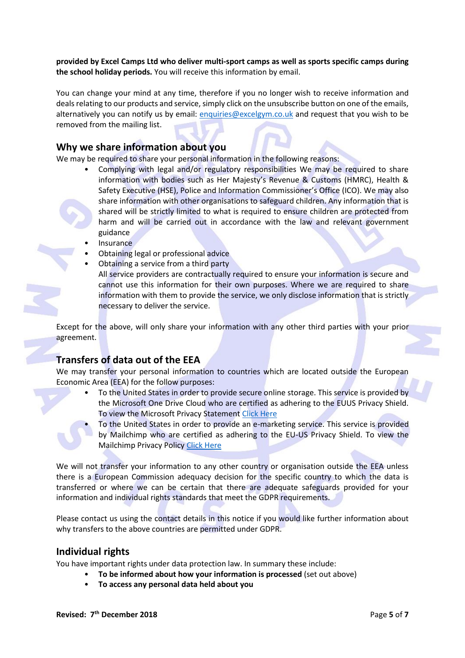**provided by Excel Camps Ltd who deliver multi-sport camps as well as sports specific camps during the school holiday periods.** You will receive this information by email.

You can change your mind at any time, therefore if you no longer wish to receive information and deals relating to our products and service, simply click on the unsubscribe button on one of the emails, alternatively you can notify us by email: [enquiries@excelgym.co.uk](mailto:enquiries@excelgym.co.uk) and request that you wish to be removed from the mailing list.

## **Why we share information about you**

We may be required to share your personal information in the following reasons:

- Complying with legal and/or regulatory responsibilities We may be required to share information with bodies such as Her Majesty's Revenue & Customs (HMRC), Health & Safety Executive (HSE), Police and Information Commissioner's Office (ICO). We may also share information with other organisations to safeguard children. Any information that is shared will be strictly limited to what is required to ensure children are protected from harm and will be carried out in accordance with the law and relevant government guidance
- **Insurance**
- Obtaining legal or professional advice
- Obtaining a service from a third party

All service providers are contractually required to ensure your information is secure and cannot use this information for their own purposes. Where we are required to share information with them to provide the service, we only disclose information that is strictly necessary to deliver the service.

Except for the above, will only share your information with any other third parties with your prior agreement.

# **Transfers of data out of the EEA**

We may transfer your personal information to countries which are located outside the European Economic Area (EEA) for the follow purposes:

• To the United States in order to provide secure online storage. This service is provided by the Microsoft One Drive Cloud who are certified as adhering to the EUUS Privacy Shield. To view the Microsoft Privacy Statement [Click Here](https://privacy.microsoft.com/en-gb/privacystatement)

• To the United States in order to provide an e-marketing service. This service is provided by Mailchimp who are certified as adhering to the EU-US Privacy Shield. To view the Mailchimp Privacy Policy [Click Here](https://mailchimp.com/legal/privacy/)

We will not transfer your information to any other country or organisation outside the EEA unless there is a European Commission adequacy decision for the specific country to which the data is transferred or where we can be certain that there are adequate safeguards provided for your information and individual rights standards that meet the GDPR requirements.

Please contact us using the contact details in this notice if you would like further information about why transfers to the above countries are permitted under GDPR.

## **Individual rights**

You have important rights under data protection law. In summary these include:

- **To be informed about how your information is processed** (set out above)
- **To access any personal data held about you**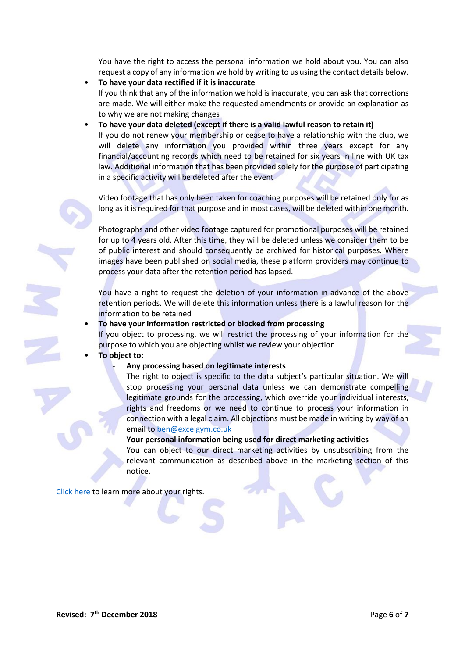You have the right to access the personal information we hold about you. You can also request a copy of any information we hold by writing to us using the contact details below.

- **To have your data rectified if it is inaccurate** If you think that any of the information we hold is inaccurate, you can ask that corrections are made. We will either make the requested amendments or provide an explanation as to why we are not making changes
- **To have your data deleted (except if there is a valid lawful reason to retain it)** If you do not renew your membership or cease to have a relationship with the club, we will delete any information you provided within three years except for any financial/accounting records which need to be retained for six years in line with UK tax law. Additional information that has been provided solely for the purpose of participating in a specific activity will be deleted after the event

Video footage that has only been taken for coaching purposes will be retained only for as long as it is required for that purpose and in most cases, will be deleted within one month.

Photographs and other video footage captured for promotional purposes will be retained for up to 4 years old. After this time, they will be deleted unless we consider them to be of public interest and should consequently be archived for historical purposes. Where images have been published on social media, these platform providers may continue to process your data after the retention period has lapsed.

You have a right to request the deletion of your information in advance of the above retention periods. We will delete this information unless there is a lawful reason for the information to be retained

• **To have your information restricted or blocked from processing**

If you object to processing, we will restrict the processing of your information for the purpose to which you are objecting whilst we review your objection

• **To object to:**

### - **Any processing based on legitimate interests**

The right to object is specific to the data subject's particular situation. We will stop processing your personal data unless we can demonstrate compelling legitimate grounds for the processing, which override your individual interests, rights and freedoms or we need to continue to process your information in connection with a legal claim. All objections must be made in writing by way of an email to [ben@excelgym.co.uk](mailto:ben@excelgym.co.uk)

- **Your personal information being used for direct marketing activities**

You can object to our direct marketing activities by unsubscribing from the relevant communication as described above in the marketing section of this notice.

[Click here](https://ico.org.uk/) to learn more about your rights.